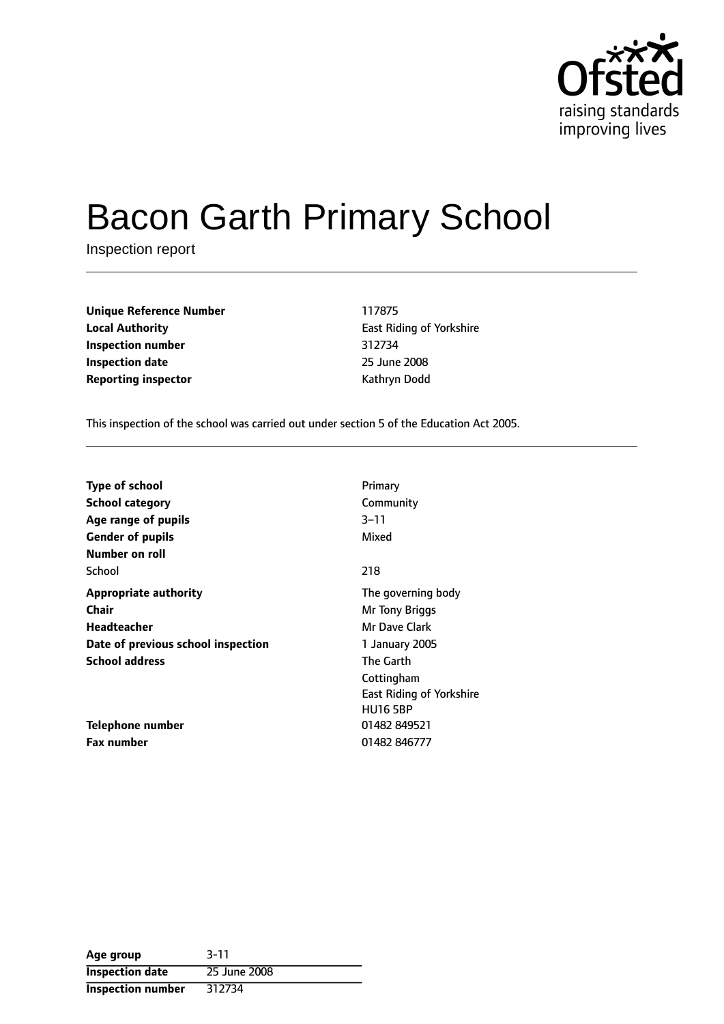

# Bacon Garth Primary School

Inspection report

**Unique Reference Number** 117875 **Local Authority East Riding of Yorkshire Inspection number** 312734 **Inspection date** 25 June 2008 **Reporting inspector CONFIDENTIAL REPORTING MANUS** Kathryn Dodd

This inspection of the school was carried out under section 5 of the Education Act 2005.

| <b>Type of school</b>              | Primary                         |
|------------------------------------|---------------------------------|
|                                    |                                 |
| <b>School category</b>             | Community                       |
| Age range of pupils                | $3 - 11$                        |
| <b>Gender of pupils</b>            | Mixed                           |
| Number on roll                     |                                 |
| School                             | 218                             |
| <b>Appropriate authority</b>       | The governing body              |
| <b>Chair</b>                       | Mr Tony Briggs                  |
| Headteacher                        | Mr Dave Clark                   |
| Date of previous school inspection | 1 January 2005                  |
| <b>School address</b>              | <b>The Garth</b>                |
|                                    | Cottingham                      |
|                                    | <b>East Riding of Yorkshire</b> |
|                                    | <b>HU16 5BP</b>                 |
| Telephone number                   | 01482 849521                    |
| <b>Fax number</b>                  | 01482 846777                    |

| Age group                | $3 - 11$     |
|--------------------------|--------------|
| <b>Inspection date</b>   | 25 June 2008 |
| <b>Inspection number</b> | 312734       |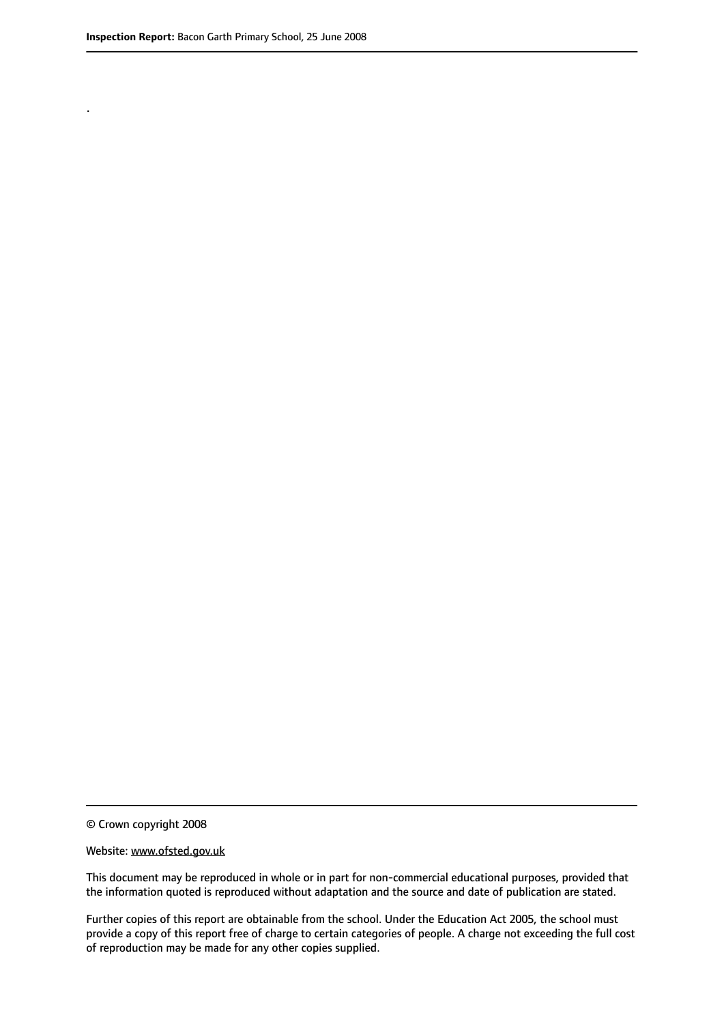.

© Crown copyright 2008

#### Website: www.ofsted.gov.uk

This document may be reproduced in whole or in part for non-commercial educational purposes, provided that the information quoted is reproduced without adaptation and the source and date of publication are stated.

Further copies of this report are obtainable from the school. Under the Education Act 2005, the school must provide a copy of this report free of charge to certain categories of people. A charge not exceeding the full cost of reproduction may be made for any other copies supplied.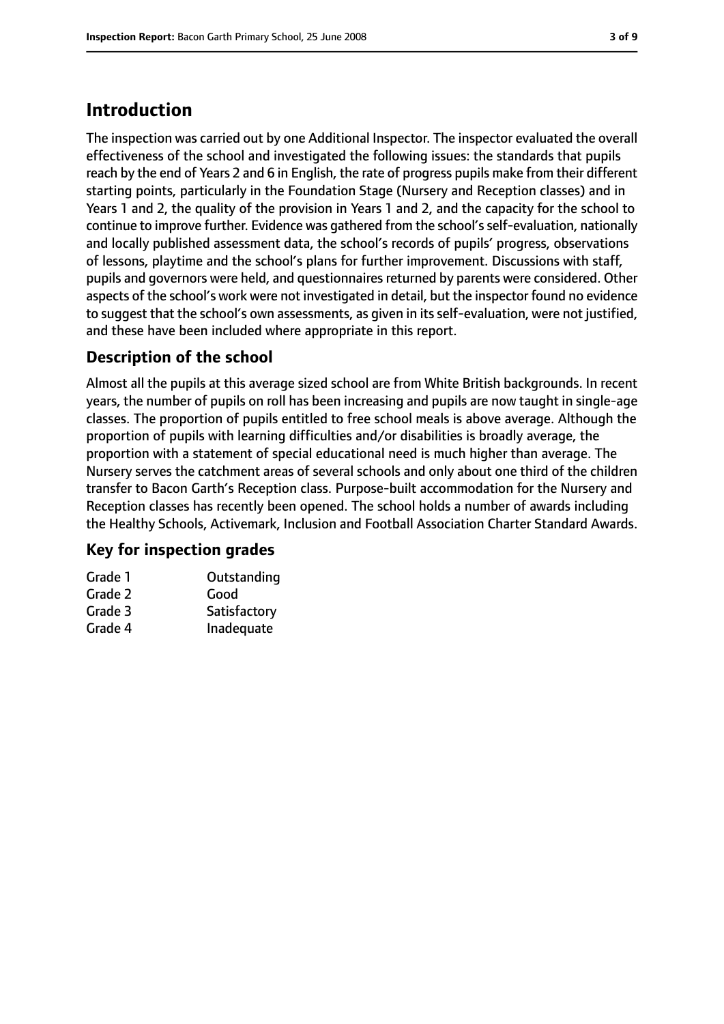# **Introduction**

The inspection was carried out by one Additional Inspector. The inspector evaluated the overall effectiveness of the school and investigated the following issues: the standards that pupils reach by the end of Years 2 and 6 in English, the rate of progress pupils make from their different starting points, particularly in the Foundation Stage (Nursery and Reception classes) and in Years 1 and 2, the quality of the provision in Years 1 and 2, and the capacity for the school to continue to improve further. Evidence was gathered from the school'sself-evaluation, nationally and locally published assessment data, the school's records of pupils' progress, observations of lessons, playtime and the school's plans for further improvement. Discussions with staff, pupils and governors were held, and questionnaires returned by parents were considered. Other aspects of the school's work were not investigated in detail, but the inspector found no evidence to suggest that the school's own assessments, as given in its self-evaluation, were not justified, and these have been included where appropriate in this report.

# **Description of the school**

Almost all the pupils at this average sized school are from White British backgrounds. In recent years, the number of pupils on roll has been increasing and pupils are now taught in single-age classes. The proportion of pupils entitled to free school meals is above average. Although the proportion of pupils with learning difficulties and/or disabilities is broadly average, the proportion with a statement of special educational need is much higher than average. The Nursery serves the catchment areas of several schools and only about one third of the children transfer to Bacon Garth's Reception class. Purpose-built accommodation for the Nursery and Reception classes has recently been opened. The school holds a number of awards including the Healthy Schools, Activemark, Inclusion and Football Association Charter Standard Awards.

### **Key for inspection grades**

| Grade 1 | Outstanding  |
|---------|--------------|
| Grade 2 | Good         |
| Grade 3 | Satisfactory |
| Grade 4 | Inadequate   |
|         |              |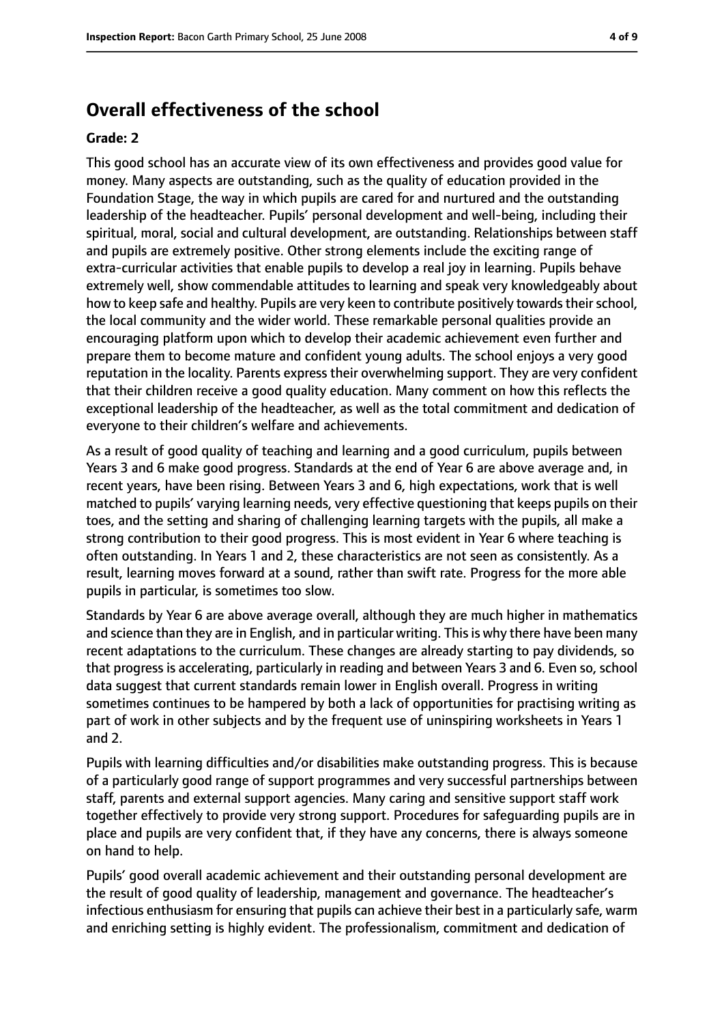# **Overall effectiveness of the school**

#### **Grade: 2**

This good school has an accurate view of its own effectiveness and provides good value for money. Many aspects are outstanding, such as the quality of education provided in the Foundation Stage, the way in which pupils are cared for and nurtured and the outstanding leadership of the headteacher. Pupils' personal development and well-being, including their spiritual, moral, social and cultural development, are outstanding. Relationships between staff and pupils are extremely positive. Other strong elements include the exciting range of extra-curricular activities that enable pupils to develop a real joy in learning. Pupils behave extremely well, show commendable attitudes to learning and speak very knowledgeably about how to keep safe and healthy. Pupils are very keen to contribute positively towards their school, the local community and the wider world. These remarkable personal qualities provide an encouraging platform upon which to develop their academic achievement even further and prepare them to become mature and confident young adults. The school enjoys a very good reputation in the locality. Parents express their overwhelming support. They are very confident that their children receive a good quality education. Many comment on how this reflects the exceptional leadership of the headteacher, as well as the total commitment and dedication of everyone to their children's welfare and achievements.

As a result of good quality of teaching and learning and a good curriculum, pupils between Years 3 and 6 make good progress. Standards at the end of Year 6 are above average and, in recent years, have been rising. Between Years 3 and 6, high expectations, work that is well matched to pupils' varying learning needs, very effective questioning that keeps pupils on their toes, and the setting and sharing of challenging learning targets with the pupils, all make a strong contribution to their good progress. This is most evident in Year 6 where teaching is often outstanding. In Years 1 and 2, these characteristics are not seen as consistently. As a result, learning moves forward at a sound, rather than swift rate. Progress for the more able pupils in particular, is sometimes too slow.

Standards by Year 6 are above average overall, although they are much higher in mathematics and science than they are in English, and in particular writing. This is why there have been many recent adaptations to the curriculum. These changes are already starting to pay dividends, so that progress is accelerating, particularly in reading and between Years 3 and 6. Even so, school data suggest that current standards remain lower in English overall. Progress in writing sometimes continues to be hampered by both a lack of opportunities for practising writing as part of work in other subjects and by the frequent use of uninspiring worksheets in Years 1 and 2.

Pupils with learning difficulties and/or disabilities make outstanding progress. This is because of a particularly good range of support programmes and very successful partnerships between staff, parents and external support agencies. Many caring and sensitive support staff work together effectively to provide very strong support. Procedures for safeguarding pupils are in place and pupils are very confident that, if they have any concerns, there is always someone on hand to help.

Pupils' good overall academic achievement and their outstanding personal development are the result of good quality of leadership, management and governance. The headteacher's infectious enthusiasm for ensuring that pupils can achieve their best in a particularly safe, warm and enriching setting is highly evident. The professionalism, commitment and dedication of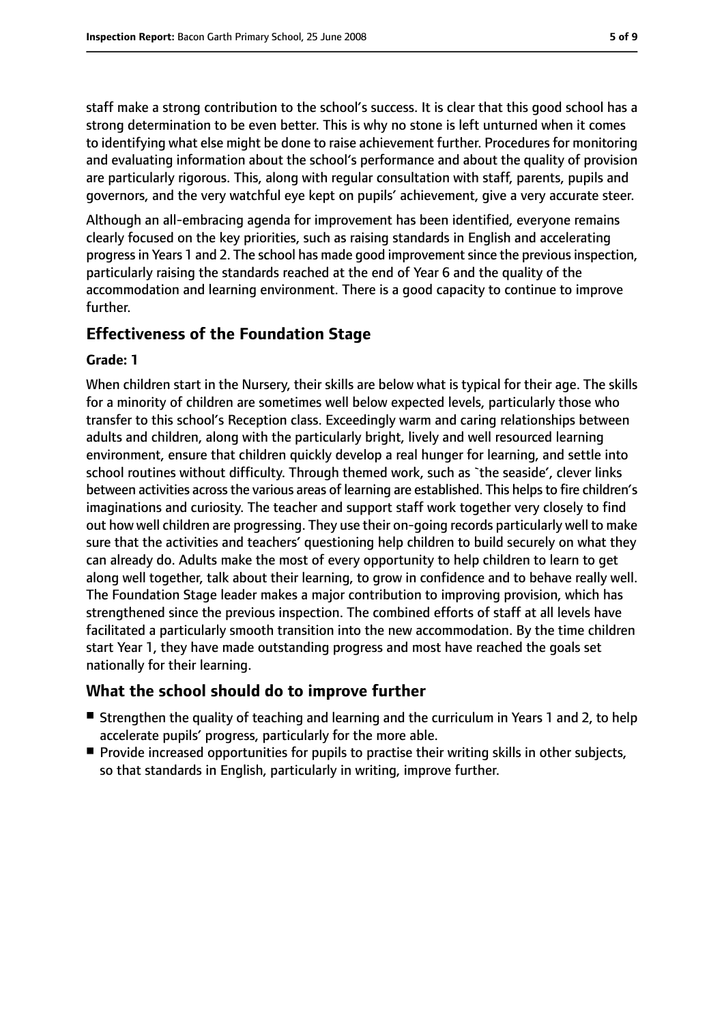staff make a strong contribution to the school's success. It is clear that this good school has a strong determination to be even better. This is why no stone is left unturned when it comes to identifying what else might be done to raise achievement further. Procedures for monitoring and evaluating information about the school's performance and about the quality of provision are particularly rigorous. This, along with regular consultation with staff, parents, pupils and governors, and the very watchful eye kept on pupils' achievement, give a very accurate steer.

Although an all-embracing agenda for improvement has been identified, everyone remains clearly focused on the key priorities, such as raising standards in English and accelerating progress in Years 1 and 2. The school has made good improvement since the previous inspection, particularly raising the standards reached at the end of Year 6 and the quality of the accommodation and learning environment. There is a good capacity to continue to improve further.

### **Effectiveness of the Foundation Stage**

### **Grade: 1**

When children start in the Nursery, their skills are below what is typical for their age. The skills for a minority of children are sometimes well below expected levels, particularly those who transfer to this school's Reception class. Exceedingly warm and caring relationships between adults and children, along with the particularly bright, lively and well resourced learning environment, ensure that children quickly develop a real hunger for learning, and settle into school routines without difficulty. Through themed work, such as `the seaside', clever links between activities across the various areas of learning are established. This helps to fire children's imaginations and curiosity. The teacher and support staff work together very closely to find out how well children are progressing. They use their on-going records particularly well to make sure that the activities and teachers' questioning help children to build securely on what they can already do. Adults make the most of every opportunity to help children to learn to get along well together, talk about their learning, to grow in confidence and to behave really well. The Foundation Stage leader makes a major contribution to improving provision, which has strengthened since the previous inspection. The combined efforts of staff at all levels have facilitated a particularly smooth transition into the new accommodation. By the time children start Year 1, they have made outstanding progress and most have reached the goals set nationally for their learning.

### **What the school should do to improve further**

- Strengthen the quality of teaching and learning and the curriculum in Years 1 and 2, to help accelerate pupils' progress, particularly for the more able.
- Provide increased opportunities for pupils to practise their writing skills in other subjects, so that standards in English, particularly in writing, improve further.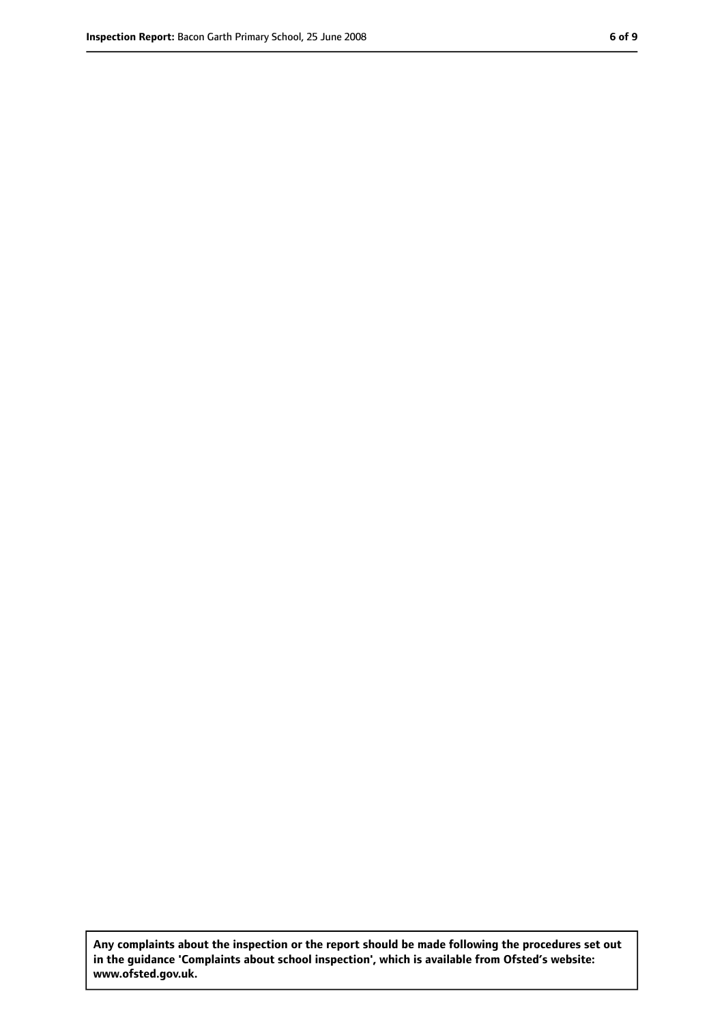**Any complaints about the inspection or the report should be made following the procedures set out in the guidance 'Complaints about school inspection', which is available from Ofsted's website: www.ofsted.gov.uk.**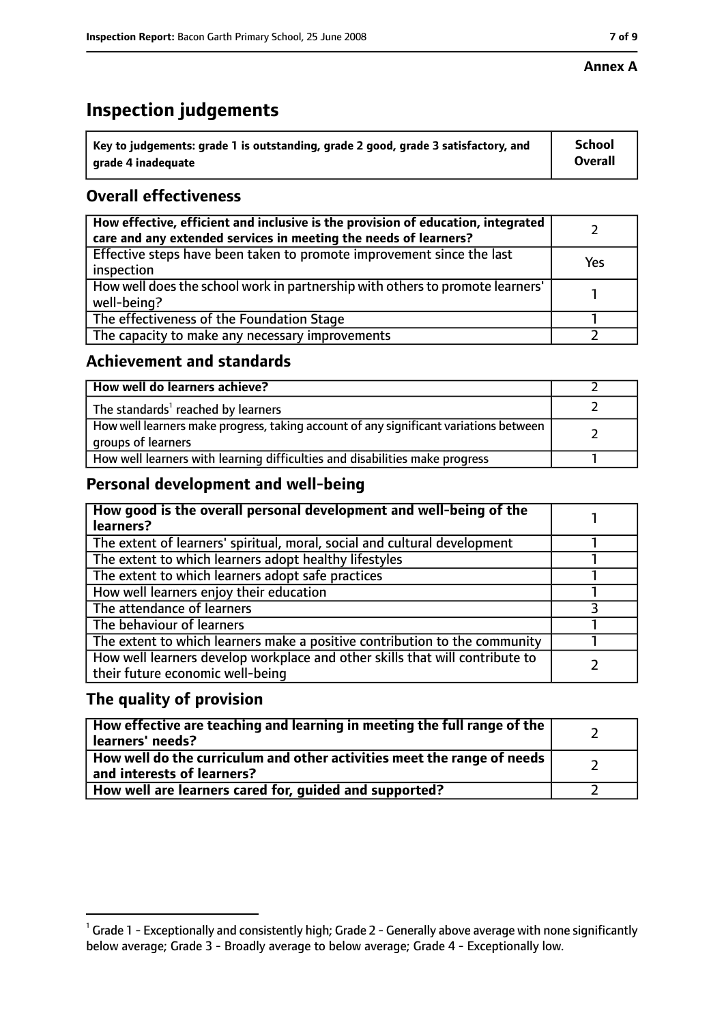### **Annex A**

# **Inspection judgements**

| $^{\backprime}$ Key to judgements: grade 1 is outstanding, grade 2 good, grade 3 satisfactory, and | <b>School</b>  |
|----------------------------------------------------------------------------------------------------|----------------|
| arade 4 inadequate                                                                                 | <b>Overall</b> |

# **Overall effectiveness**

| How effective, efficient and inclusive is the provision of education, integrated<br>care and any extended services in meeting the needs of learners? |     |
|------------------------------------------------------------------------------------------------------------------------------------------------------|-----|
| Effective steps have been taken to promote improvement since the last<br>inspection                                                                  | Yes |
| How well does the school work in partnership with others to promote learners'<br>well-being?                                                         |     |
| The effectiveness of the Foundation Stage                                                                                                            |     |
| The capacity to make any necessary improvements                                                                                                      |     |

### **Achievement and standards**

| How well do learners achieve?                                                                               |  |
|-------------------------------------------------------------------------------------------------------------|--|
| The standards <sup>1</sup> reached by learners                                                              |  |
| How well learners make progress, taking account of any significant variations between<br>groups of learners |  |
| How well learners with learning difficulties and disabilities make progress                                 |  |

### **Personal development and well-being**

| How good is the overall personal development and well-being of the<br>learners?                                  |  |
|------------------------------------------------------------------------------------------------------------------|--|
| The extent of learners' spiritual, moral, social and cultural development                                        |  |
| The extent to which learners adopt healthy lifestyles                                                            |  |
| The extent to which learners adopt safe practices                                                                |  |
| How well learners enjoy their education                                                                          |  |
| The attendance of learners                                                                                       |  |
| The behaviour of learners                                                                                        |  |
| The extent to which learners make a positive contribution to the community                                       |  |
| How well learners develop workplace and other skills that will contribute to<br>their future economic well-being |  |

### **The quality of provision**

| How effective are teaching and learning in meeting the full range of the<br>learners' needs?          |  |
|-------------------------------------------------------------------------------------------------------|--|
| How well do the curriculum and other activities meet the range of needs<br>and interests of learners? |  |
| How well are learners cared for, guided and supported?                                                |  |

 $^1$  Grade 1 - Exceptionally and consistently high; Grade 2 - Generally above average with none significantly below average; Grade 3 - Broadly average to below average; Grade 4 - Exceptionally low.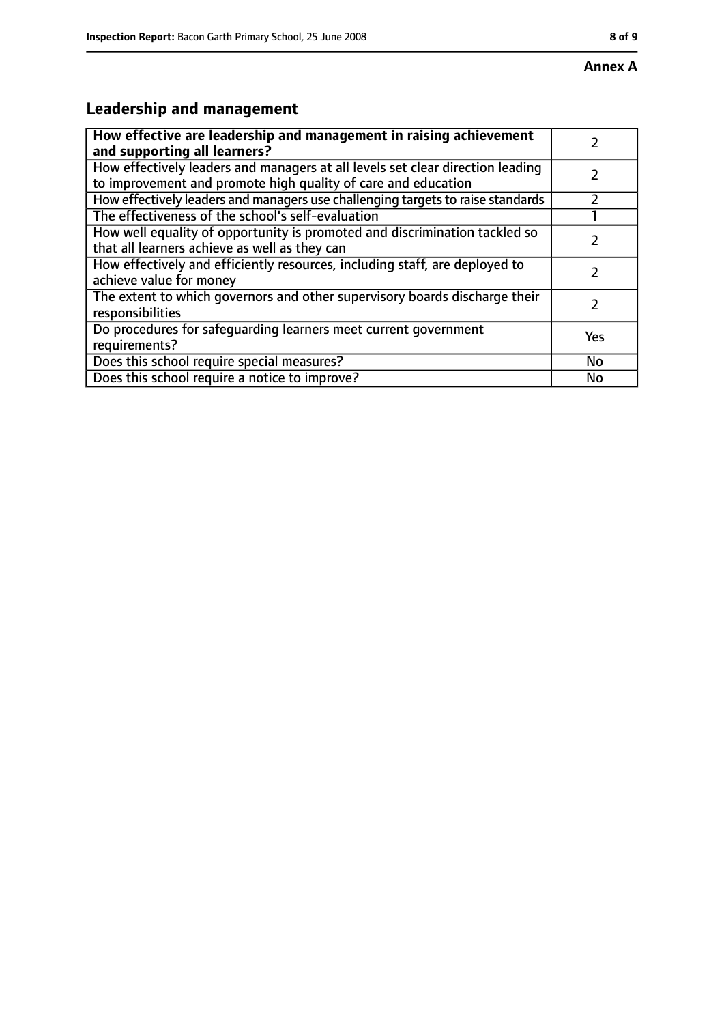# **Leadership and management**

| How effective are leadership and management in raising achievement<br>and supporting all learners?                                              |     |
|-------------------------------------------------------------------------------------------------------------------------------------------------|-----|
| How effectively leaders and managers at all levels set clear direction leading<br>to improvement and promote high quality of care and education |     |
| How effectively leaders and managers use challenging targets to raise standards                                                                 |     |
| The effectiveness of the school's self-evaluation                                                                                               |     |
| How well equality of opportunity is promoted and discrimination tackled so<br>that all learners achieve as well as they can                     |     |
| How effectively and efficiently resources, including staff, are deployed to<br>achieve value for money                                          |     |
| The extent to which governors and other supervisory boards discharge their<br>responsibilities                                                  |     |
| Do procedures for safequarding learners meet current government<br>requirements?                                                                | Yes |
| Does this school require special measures?                                                                                                      | No  |
| Does this school require a notice to improve?                                                                                                   | No  |